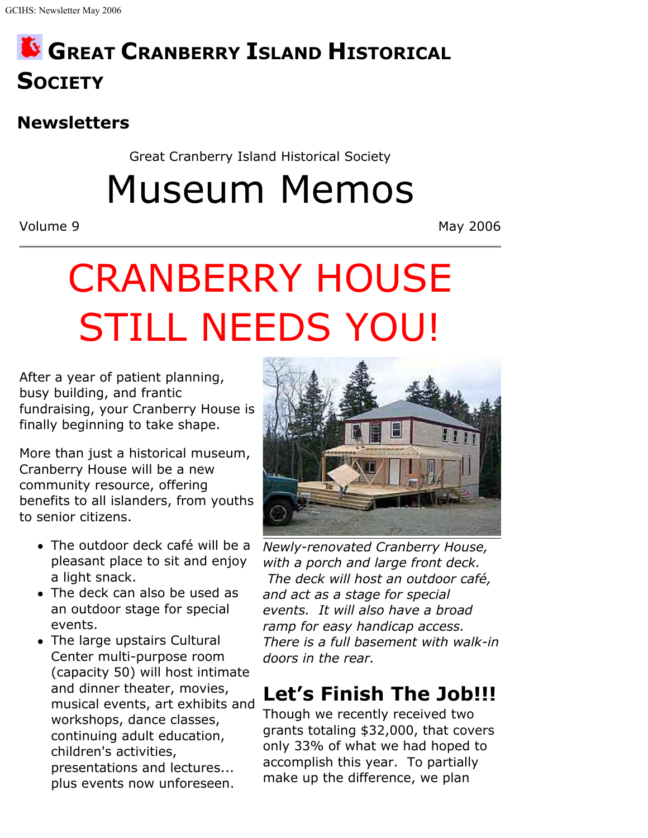## **GREAT CRANBERRY ISLAND HISTORICAL SOCIETY**

## **Newsletters**

Great Cranberry Island Historical Society

Museum Memos

Volume 9 May 2006

# CRANBERRY HOUSE STILL NEEDS YOU!

After a year of patient planning, busy building, and frantic fundraising, your Cranberry House is finally beginning to take shape.

More than just a historical museum, Cranberry House will be a new community resource, offering benefits to all islanders, from youths to senior citizens.

- The outdoor deck café will be a pleasant place to sit and enjoy a light snack.
- The deck can also be used as an outdoor stage for special events.
- The large upstairs Cultural Center multi-purpose room (capacity 50) will host intimate and dinner theater, movies, musical events, art exhibits and workshops, dance classes, continuing adult education, children's activities, presentations and lectures... plus events now unforeseen.



*Newly-renovated Cranberry House, with a porch and large front deck. The deck will host an outdoor café, and act as a stage for special events. It will also have a broad ramp for easy handicap access. There is a full basement with walk-in doors in the rear.*

## **Let's Finish The Job!!!**

Though we recently received two grants totaling \$32,000, that covers only 33% of what we had hoped to accomplish this year. To partially make up the difference, we plan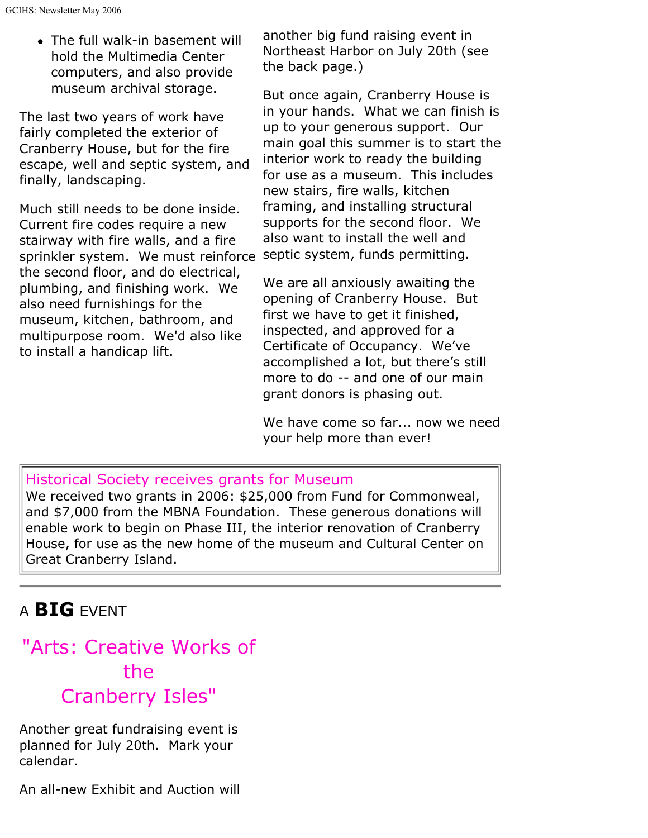• The full walk-in basement will hold the Multimedia Center computers, and also provide museum archival storage.

The last two years of work have fairly completed the exterior of Cranberry House, but for the fire escape, well and septic system, and finally, landscaping.

Much still needs to be done inside. Current fire codes require a new stairway with fire walls, and a fire sprinkler system. We must reinforce septic system, funds permitting. the second floor, and do electrical, plumbing, and finishing work. We also need furnishings for the museum, kitchen, bathroom, and multipurpose room. We'd also like to install a handicap lift.

another big fund raising event in Northeast Harbor on July 20th (see the back page.)

But once again, Cranberry House is in your hands. What we can finish is up to your generous support. Our main goal this summer is to start the interior work to ready the building for use as a museum. This includes new stairs, fire walls, kitchen framing, and installing structural supports for the second floor. We also want to install the well and

We are all anxiously awaiting the opening of Cranberry House. But first we have to get it finished, inspected, and approved for a Certificate of Occupancy. We've accomplished a lot, but there's still more to do -- and one of our main grant donors is phasing out.

We have come so far... now we need your help more than ever!

#### Historical Society receives grants for Museum

We received two grants in 2006: \$25,000 from Fund for Commonweal, and \$7,000 from the MBNA Foundation. These generous donations will enable work to begin on Phase III, the interior renovation of Cranberry House, for use as the new home of the museum and Cultural Center on Great Cranberry Island.

### A **BIG** EVENT

## "Arts: Creative Works of the Cranberry Isles"

Another great fundraising event is planned for July 20th. Mark your calendar.

An all-new Exhibit and Auction will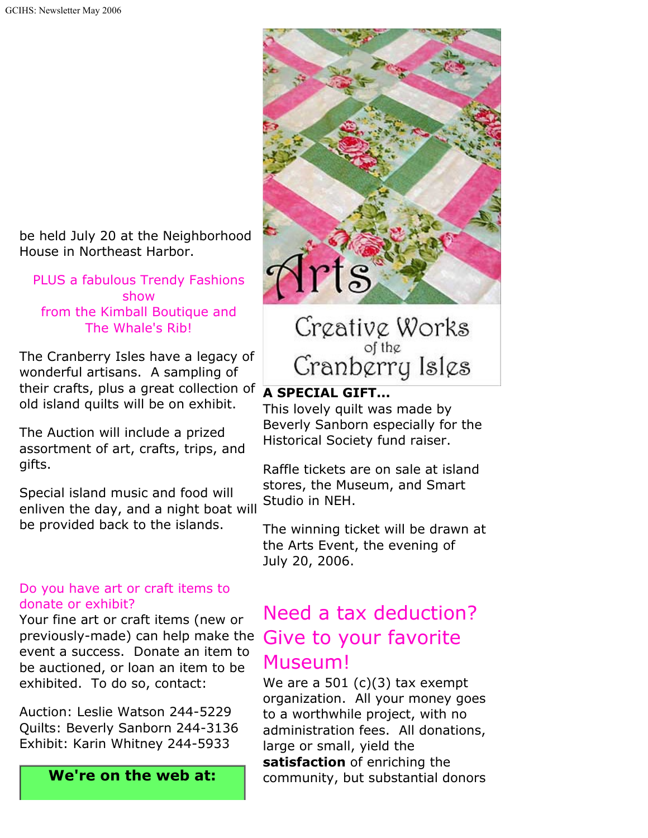be held July 20 at the Neighborhood House in Northeast Harbor.

PLUS a fabulous Trendy Fashions show from the Kimball Boutique and The Whale's Rib!

The Cranberry Isles have a legacy of wonderful artisans. A sampling of their crafts, plus a great collection of old island quilts will be on exhibit.

The Auction will include a prized assortment of art, crafts, trips, and gifts.

Special island music and food will enliven the day, and a night boat will be provided back to the islands.

#### Do you have art or craft items to donate or exhibit?

Your fine art or craft items (new or previously-made) can help make the Give to your favorite event a success. Donate an item to be auctioned, or loan an item to be exhibited. To do so, contact:

Auction: Leslie Watson 244-5229 Quilts: Beverly Sanborn 244-3136 Exhibit: Karin Whitney 244-5933

**We're on the web at:**



Creative Works of the  $C$ ranb $\stackrel{\circ}{\text{error}}$  Isl $\varphi$ s

#### **A SPECIAL GIFT...**

This lovely quilt was made by Beverly Sanborn especially for the Historical Society fund raiser.

Raffle tickets are on sale at island stores, the Museum, and Smart Studio in NEH.

The winning ticket will be drawn at the Arts Event, the evening of July 20, 2006.

# Need a tax deduction? Museum!

We are a 501  $(c)(3)$  tax exempt organization. All your money goes to a worthwhile project, with no administration fees. All donations, large or small, yield the **satisfaction** of enriching the community, but substantial donors